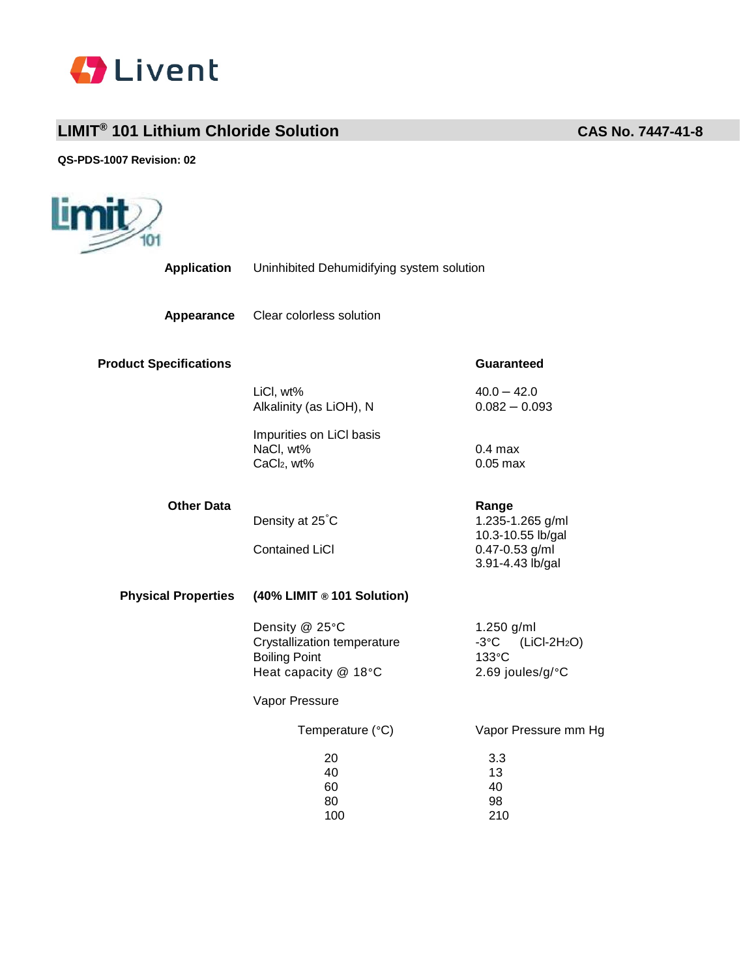

## **LIMIT® 101 Lithium Chloride Solution CAS No. 7447-41-8**

**QS-PDS-1007 Revision: 02**

| Limit<br>101                  |                                                                                               |                                                                                      |
|-------------------------------|-----------------------------------------------------------------------------------------------|--------------------------------------------------------------------------------------|
| <b>Application</b>            | Uninhibited Dehumidifying system solution                                                     |                                                                                      |
| Appearance                    | Clear colorless solution                                                                      |                                                                                      |
| <b>Product Specifications</b> |                                                                                               | Guaranteed                                                                           |
|                               | LiCl, wt%<br>Alkalinity (as LiOH), N                                                          | $40.0 - 42.0$<br>$0.082 - 0.093$                                                     |
|                               | Impurities on LiCI basis<br>NaCl, wt%<br>CaCl <sub>2</sub> , wt%                              | $0.4$ max<br>$0.05$ max                                                              |
| <b>Other Data</b>             | Density at 25°C<br><b>Contained LiCI</b>                                                      | Range<br>1.235-1.265 g/ml<br>10.3-10.55 lb/gal<br>0.47-0.53 g/ml<br>3.91-4.43 lb/gal |
| <b>Physical Properties</b>    | (40% LIMIT ® 101 Solution)                                                                    |                                                                                      |
|                               | Density @ 25°C<br>Crystallization temperature<br><b>Boiling Point</b><br>Heat capacity @ 18°C | 1.250 g/ml<br>$-3^{\circ}$ C<br>$(LICI-2H2O)$<br>133°C<br>2.69 joules/g/°C           |
|                               | Vapor Pressure                                                                                |                                                                                      |
|                               | Temperature (°C)                                                                              | Vapor Pressure mm Hg                                                                 |
|                               | 20<br>40<br>60<br>80<br>100                                                                   | 3.3<br>13<br>40<br>98<br>210                                                         |